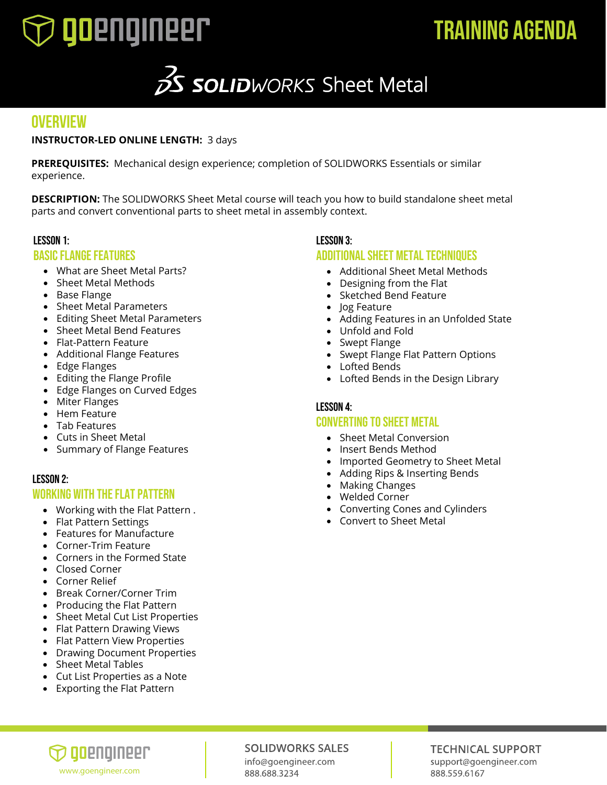

# TRAINING AGENDA

# 3 **SOLID**WORKS Sheet Metal

## **OVERVIEW**

### **INSTRUCTOR-LED ONLINE LENGTH:** 3 days

**PREREQUISITES:** Mechanical design experience; completion of SOLIDWORKS Essentials or similar experience.

**DESCRIPTION:** The SOLIDWORKS Sheet Metal course will teach you how to build standalone sheet metal parts and convert conventional parts to sheet metal in assembly context.

### Lesson 1:

### Basic Flange Features

- What are Sheet Metal Parts?
- Sheet Metal Methods
- Base Flange
- Sheet Metal Parameters
- Editing Sheet Metal Parameters
- Sheet Metal Bend Features
- Flat-Pattern Feature
- Additional Flange Features
- Edge Flanges
- Editing the Flange Profile
- Edge Flanges on Curved Edges
- Miter Flanges
- Hem Feature
- Tab Features
- Cuts in Sheet Metal
- Summary of Flange Features

### Lesson 2:

### Working with the Flat Pattern

- Working with the Flat Pattern .
- Flat Pattern Settings
- Features for Manufacture
- Corner-Trim Feature
- Corners in the Formed State
- Closed Corner
- Corner Relief
- Break Corner/Corner Trim
- Producing the Flat Pattern
- Sheet Metal Cut List Properties
- Flat Pattern Drawing Views
- Flat Pattern View Properties
- Drawing Document Properties
- Sheet Metal Tables
- Cut List Properties as a Note
- Exporting the Flat Pattern

### Lesson 3:

### Additional Sheet Metal Techniques

- Additional Sheet Metal Methods
- Designing from the Flat
- Sketched Bend Feature
- Jog Feature
- Adding Features in an Unfolded State
- Unfold and Fold
- Swept Flange
- Swept Flange Flat Pattern Options
- Lofted Bends
- Lofted Bends in the Design Library

### Lesson 4: Converting to Sheet Metal

- Sheet Metal Conversion
- Insert Bends Method
- Imported Geometry to Sheet Metal
- Adding Rips & Inserting Bends
- Making Changes
- Welded Corner
- Converting Cones and Cylinders
- Convert to Sheet Metal

## ) qoenqineer www.goengineer.com

### **SOLIDWORKS SALES**

info@goengineer.com

### **TECHNICAL SUPPORT** support@goengineer.com 888.559.6167

888.688.3234